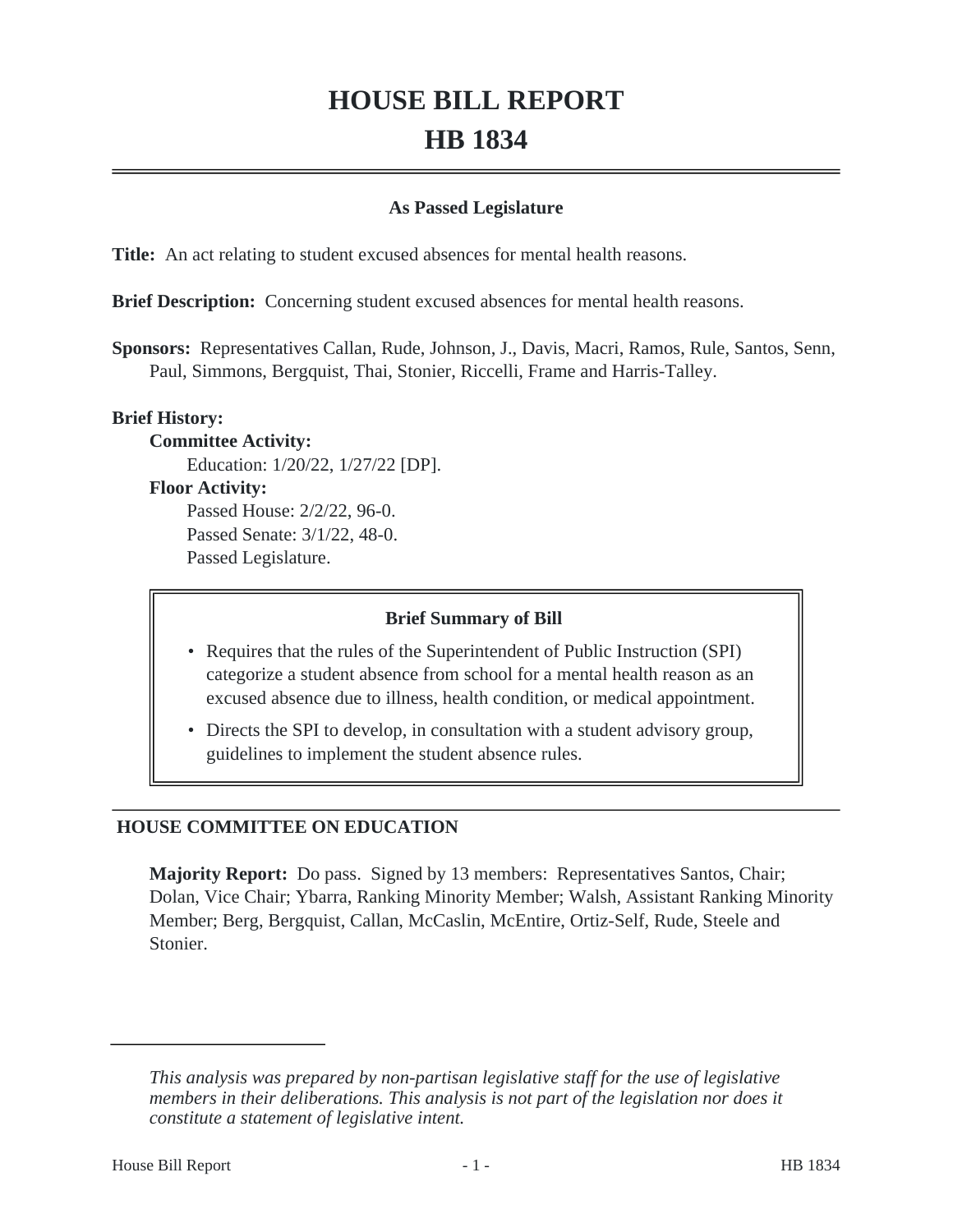# **HOUSE BILL REPORT HB 1834**

## **As Passed Legislature**

**Title:** An act relating to student excused absences for mental health reasons.

**Brief Description:** Concerning student excused absences for mental health reasons.

**Sponsors:** Representatives Callan, Rude, Johnson, J., Davis, Macri, Ramos, Rule, Santos, Senn, Paul, Simmons, Bergquist, Thai, Stonier, Riccelli, Frame and Harris-Talley.

## **Brief History:**

**Committee Activity:**

Education: 1/20/22, 1/27/22 [DP].

### **Floor Activity:**

Passed House: 2/2/22, 96-0. Passed Senate: 3/1/22, 48-0. Passed Legislature.

#### **Brief Summary of Bill**

- Requires that the rules of the Superintendent of Public Instruction (SPI) categorize a student absence from school for a mental health reason as an excused absence due to illness, health condition, or medical appointment.
- Directs the SPI to develop, in consultation with a student advisory group, guidelines to implement the student absence rules.

# **HOUSE COMMITTEE ON EDUCATION**

**Majority Report:** Do pass. Signed by 13 members: Representatives Santos, Chair; Dolan, Vice Chair; Ybarra, Ranking Minority Member; Walsh, Assistant Ranking Minority Member; Berg, Bergquist, Callan, McCaslin, McEntire, Ortiz-Self, Rude, Steele and Stonier.

*This analysis was prepared by non-partisan legislative staff for the use of legislative members in their deliberations. This analysis is not part of the legislation nor does it constitute a statement of legislative intent.*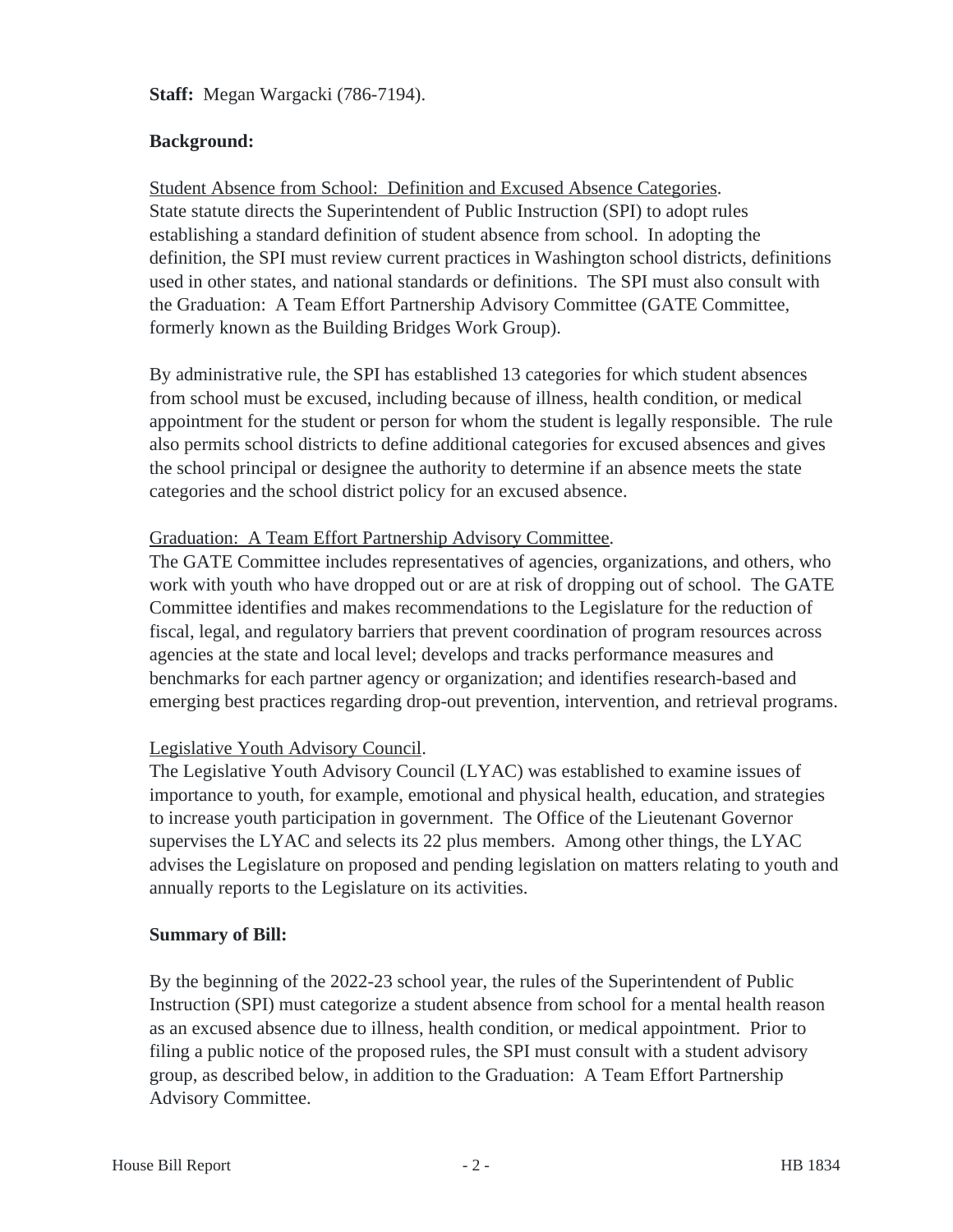**Staff:** Megan Wargacki (786-7194).

# **Background:**

Student Absence from School: Definition and Excused Absence Categories. State statute directs the Superintendent of Public Instruction (SPI) to adopt rules establishing a standard definition of student absence from school. In adopting the definition, the SPI must review current practices in Washington school districts, definitions used in other states, and national standards or definitions. The SPI must also consult with the Graduation: A Team Effort Partnership Advisory Committee (GATE Committee, formerly known as the Building Bridges Work Group).

By administrative rule, the SPI has established 13 categories for which student absences from school must be excused, including because of illness, health condition, or medical appointment for the student or person for whom the student is legally responsible. The rule also permits school districts to define additional categories for excused absences and gives the school principal or designee the authority to determine if an absence meets the state categories and the school district policy for an excused absence.

# Graduation: A Team Effort Partnership Advisory Committee.

The GATE Committee includes representatives of agencies, organizations, and others, who work with youth who have dropped out or are at risk of dropping out of school. The GATE Committee identifies and makes recommendations to the Legislature for the reduction of fiscal, legal, and regulatory barriers that prevent coordination of program resources across agencies at the state and local level; develops and tracks performance measures and benchmarks for each partner agency or organization; and identifies research-based and emerging best practices regarding drop-out prevention, intervention, and retrieval programs.

# Legislative Youth Advisory Council.

The Legislative Youth Advisory Council (LYAC) was established to examine issues of importance to youth, for example, emotional and physical health, education, and strategies to increase youth participation in government. The Office of the Lieutenant Governor supervises the LYAC and selects its 22 plus members. Among other things, the LYAC advises the Legislature on proposed and pending legislation on matters relating to youth and annually reports to the Legislature on its activities.

# **Summary of Bill:**

By the beginning of the 2022-23 school year, the rules of the Superintendent of Public Instruction (SPI) must categorize a student absence from school for a mental health reason as an excused absence due to illness, health condition, or medical appointment. Prior to filing a public notice of the proposed rules, the SPI must consult with a student advisory group, as described below, in addition to the Graduation: A Team Effort Partnership Advisory Committee.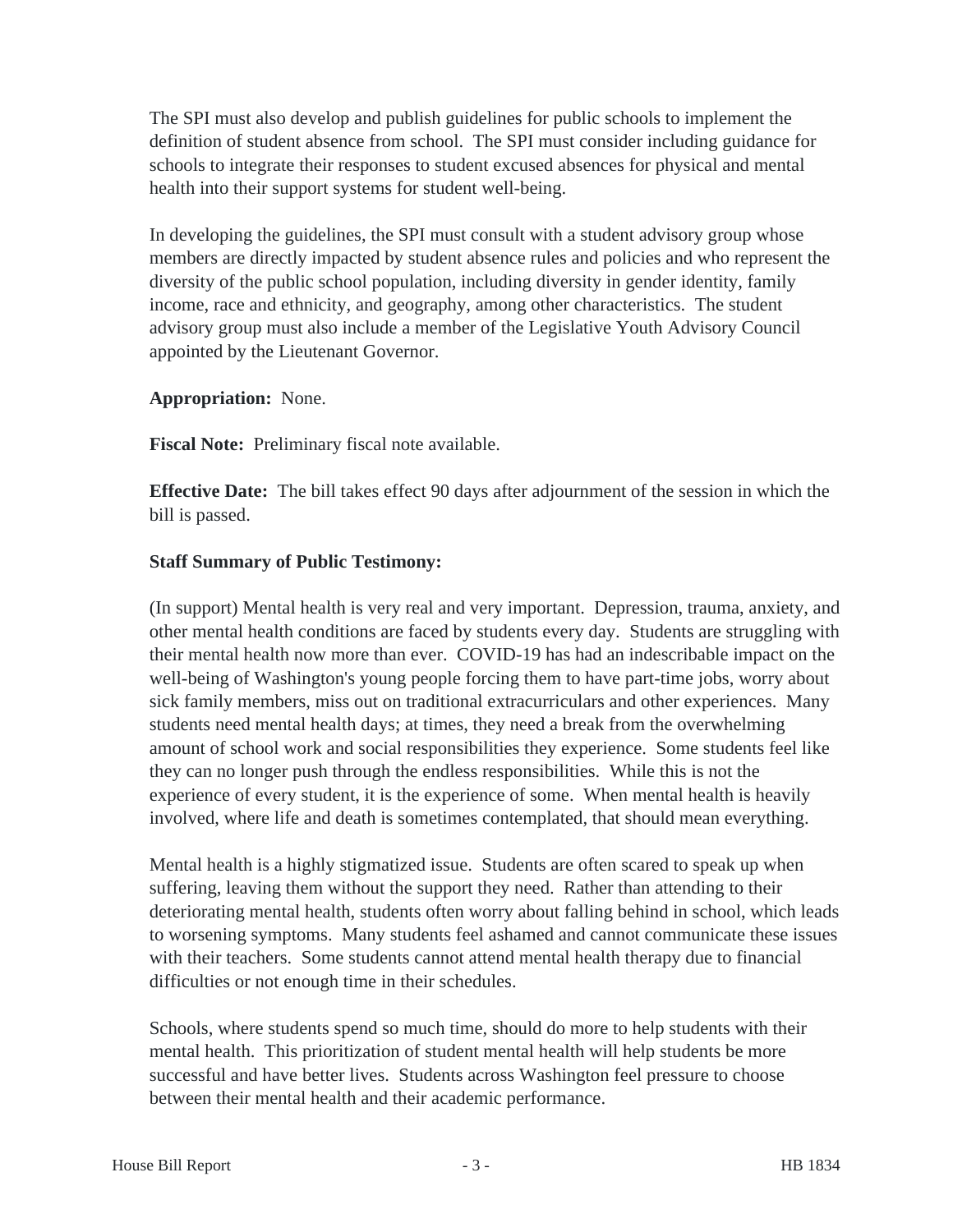The SPI must also develop and publish guidelines for public schools to implement the definition of student absence from school. The SPI must consider including guidance for schools to integrate their responses to student excused absences for physical and mental health into their support systems for student well-being.

In developing the guidelines, the SPI must consult with a student advisory group whose members are directly impacted by student absence rules and policies and who represent the diversity of the public school population, including diversity in gender identity, family income, race and ethnicity, and geography, among other characteristics. The student advisory group must also include a member of the Legislative Youth Advisory Council appointed by the Lieutenant Governor.

**Appropriation:** None.

**Fiscal Note:** Preliminary fiscal note available.

**Effective Date:** The bill takes effect 90 days after adjournment of the session in which the bill is passed.

# **Staff Summary of Public Testimony:**

(In support) Mental health is very real and very important. Depression, trauma, anxiety, and other mental health conditions are faced by students every day. Students are struggling with their mental health now more than ever. COVID-19 has had an indescribable impact on the well-being of Washington's young people forcing them to have part-time jobs, worry about sick family members, miss out on traditional extracurriculars and other experiences. Many students need mental health days; at times, they need a break from the overwhelming amount of school work and social responsibilities they experience. Some students feel like they can no longer push through the endless responsibilities. While this is not the experience of every student, it is the experience of some. When mental health is heavily involved, where life and death is sometimes contemplated, that should mean everything.

Mental health is a highly stigmatized issue. Students are often scared to speak up when suffering, leaving them without the support they need. Rather than attending to their deteriorating mental health, students often worry about falling behind in school, which leads to worsening symptoms. Many students feel ashamed and cannot communicate these issues with their teachers. Some students cannot attend mental health therapy due to financial difficulties or not enough time in their schedules.

Schools, where students spend so much time, should do more to help students with their mental health. This prioritization of student mental health will help students be more successful and have better lives. Students across Washington feel pressure to choose between their mental health and their academic performance.